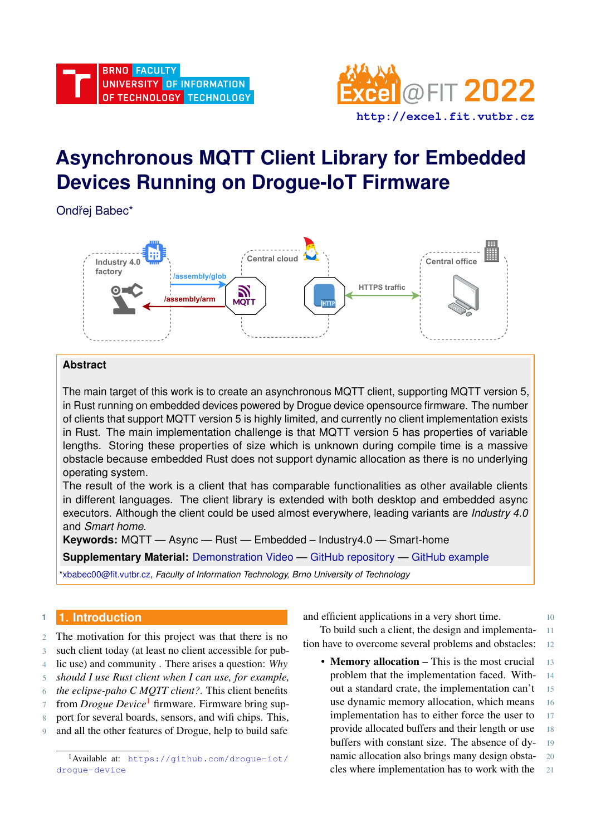

# **Asynchronous MQTT Client Library for Embedded Devices Running on Drogue-IoT Firmware**

Ondřej Babec\*



## **Abstract**

The main target of this work is to create an asynchronous MQTT client, supporting MQTT version 5, in Rust running on embedded devices powered by Drogue device opensource firmware. The number of clients that support MQTT version 5 is highly limited, and currently no client implementation exists in Rust. The main implementation challenge is that MQTT version 5 has properties of variable lengths. Storing these properties of size which is unknown during compile time is a massive obstacle because embedded Rust does not support dynamic allocation as there is no underlying operating system.

The result of the work is a client that has comparable functionalities as other available clients in different languages. The client library is extended with both desktop and embedded async executors. Although the client could be used almost everywhere, leading variants are *Industry 4.0* and *Smart home*.

**Keywords:** MQTT — Async — Rust — Embedded – Industry4.0 — Smart-home

**Supplementary Material:** [Demonstration Video](https://youtu.be/YdQ6QbGxZfw) — [GitHub repository](https://github.com/obabec/rust-mqtt) — [GitHub example](https://github.com/obabec/drogue-device/blob/mqtt-client/examples/nrf52/microbit/esp8266/mqtt/src/main.rs)

[\\*xbabec00@fit.vutbr.cz,](mailto:xbabec00@fit.vutbr.cz) *Faculty of Information Technology, Brno University of Technology*

# **<sup>1</sup> 1. Introduction**

2 The motivation for this project was that there is no 3 such client today (at least no client accessible for pub-4 lic use) and community . There arises a question: *Why*

5 *should I use Rust client when I can use, for example,*

- 6 *the eclipse-paho C MQTT client?*. This client benefits
- 7 from *Drogue Device*<sup>[1](#page-0-0)</sup> firmware. Firmware bring sup-
- 8 port for several boards, sensors, and wifi chips. This,
- 9 and all the other features of Drogue, help to build safe

and efficient applications in a very short time.

To build such a client, the design and implementa- 11 tion have to overcome several problems and obstacles: 12

• **Memory allocation** – This is the most crucial 13 problem that the implementation faced. With- 14 out a standard crate, the implementation can't 15 use dynamic memory allocation, which means 16 implementation has to either force the user to 17 provide allocated buffers and their length or use 18 buffers with constant size. The absence of dy- 19 namic allocation also brings many design obsta- 20 cles where implementation has to work with the 21

<span id="page-0-0"></span><sup>1</sup>Available at: [https://github.com/drogue-iot/](https://github.com/drogue-iot/drogue-device) [drogue-device](https://github.com/drogue-iot/drogue-device)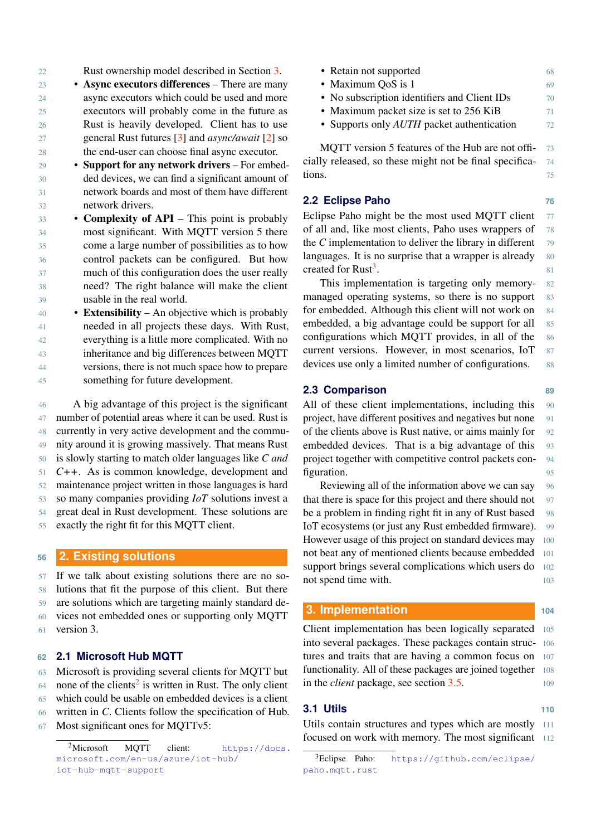22 Rust ownership model described in Section [3.](#page-1-0)

- 23 Async executors differences There are many 24 async executors which could be used and more 25 executors will probably come in the future as 26 Rust is heavily developed. Client has to use 27 general Rust futures [\[3\]](#page-5-0) and *async/await* [\[2\]](#page-5-1) so 28 the end-user can choose final async executor.
- 29 Support for any network drivers For embed-30 ded devices, we can find a significant amount of 31 network boards and most of them have different 32 network drivers.
- 33 Complexity of API This point is probably 34 most significant. With MQTT version 5 there 35 come a large number of possibilities as to how 36 control packets can be configured. But how 37 much of this configuration does the user really 38 need? The right balance will make the client 39 usable in the real world.
- $40 \rightarrow$  **Extensibility** An objective which is probably 41 needed in all projects these days. With Rust, 42 everything is a little more complicated. With no 43 inheritance and big differences between MQTT 44 versions, there is not much space how to prepare 45 something for future development.

 A big advantage of this project is the significant number of potential areas where it can be used. Rust is currently in very active development and the commu- nity around it is growing massively. That means Rust is slowly starting to match older languages like *C and C++*. As is common knowledge, development and maintenance project written in those languages is hard so many companies providing *IoT* solutions invest a great deal in Rust development. These solutions are exactly the right fit for this MQTT client.

## **<sup>56</sup> 2. Existing solutions**

 If we talk about existing solutions there are no so- lutions that fit the purpose of this client. But there are solutions which are targeting mainly standard de- vices not embedded ones or supporting only MQTT version 3.

## **62 2.1 Microsoft Hub MQTT**

63 Microsoft is providing several clients for MQTT but

- 64 none of the clients<sup>[2](#page-1-1)</sup> is written in Rust. The only client
- 65 which could be usable on embedded devices is a client
- 66 written in *C*. Clients follow the specification of Hub.
- 67 Most significant ones for MQTTv5:

| • Retain not supported                                  | 68 |
|---------------------------------------------------------|----|
| • Maximum QoS is 1                                      | 69 |
| • No subscription identifiers and Client IDs            | 70 |
| • Maximum packet size is set to 256 KiB                 | 71 |
| • Supports only <i>AUTH</i> packet authentication       | 72 |
| MQTT version 5 features of the Hub are not offi-        | 73 |
| cially released, so these might not be final specifica- | 74 |
| tions.                                                  | 75 |
|                                                         |    |

#### **2.2 Eclipse Paho 76**

Eclipse Paho might be the most used MQTT client  $77$ of all and, like most clients, Paho uses wrappers of 78 the  $C$  implementation to deliver the library in different  $\frac{79}{2}$ languages. It is no surprise that a wrapper is already  $80$ created for Rust<sup>[3](#page-1-2)</sup>. **.** 81

This implementation is targeting only memory- 82 managed operating systems, so there is no support 83 for embedded. Although this client will not work on 84 embedded, a big advantage could be support for all 85 configurations which MQTT provides, in all of the 86 current versions. However, in most scenarios, IoT 87 devices use only a limited number of configurations. 88

#### **2.3 Comparison 89**

All of these client implementations, including this 90 project, have different positives and negatives but none 91 of the clients above is Rust native, or aims mainly for 92 embedded devices. That is a big advantage of this 93 project together with competitive control packets con- 94 figuration. 95

Reviewing all of the information above we can say 96 that there is space for this project and there should not 97 be a problem in finding right fit in any of Rust based 98 IoT ecosystems (or just any Rust embedded firmware). 99 However usage of this project on standard devices may 100 not beat any of mentioned clients because embedded 101 support brings several complications which users do 102 not spend time with. 103

#### <span id="page-1-0"></span>**3. Implementation <sup>104</sup>**

Client implementation has been logically separated 105 into several packages. These packages contain struc- 106 tures and traits that are having a common focus on 107 functionality. All of these packages are joined together 108 in the *client* package, see section [3.5.](#page-3-0) 109

## **3.1 Utils 110**

Utils contain structures and types which are mostly 111 focused on work with memory. The most significant 112

<span id="page-1-1"></span><sup>&</sup>lt;sup>2</sup>Microsoft MQTT client: [https://docs.](https://docs.microsoft.com/en-us/azure/iot-hub/iot-hub-mqtt-support) [microsoft.com/en-us/azure/iot-hub/](https://docs.microsoft.com/en-us/azure/iot-hub/iot-hub-mqtt-support) [iot-hub-mqtt-support](https://docs.microsoft.com/en-us/azure/iot-hub/iot-hub-mqtt-support)

<span id="page-1-2"></span><sup>3</sup>Eclipse Paho: [https://github.com/eclipse/](https://github.com/eclipse/paho.mqtt.rust) [paho.mqtt.rust](https://github.com/eclipse/paho.mqtt.rust)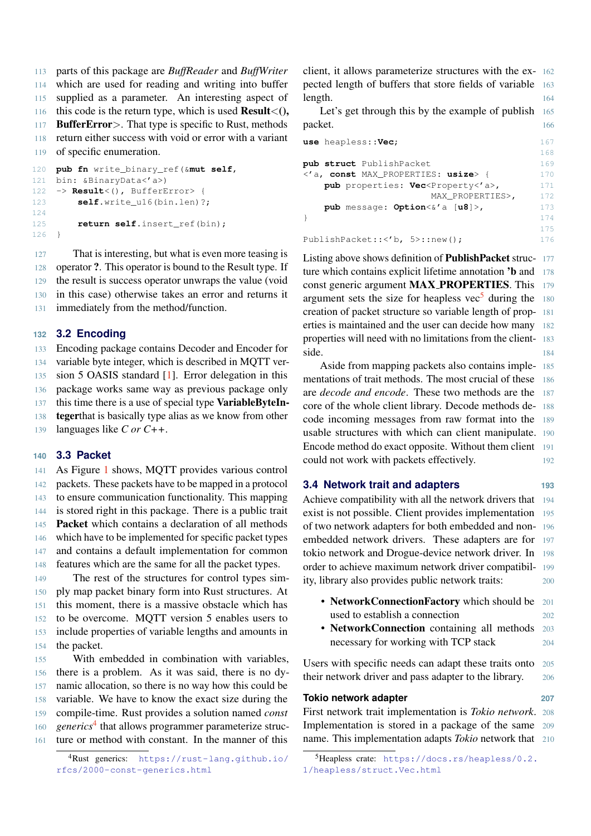parts of this package are *BuffReader* and *BuffWriter* which are used for reading and writing into buffer supplied as a parameter. An interesting aspect of 116 this code is the return type, which is used **Result** < (), **BufferError** >. That type is specific to Rust, methods return either success with void or error with a variant of specific enumeration.

```
120 pub fn write_binary_ref(&mut self,
121 bin: &BinaryData<'a>)
122 -> Result<(), BufferError> {
123 self.write_u16(bin.len)?;
124
125 return self.insert_ref(bin);
126 }
```
127 That is interesting, but what is even more teasing is operator ?. This operator is bound to the Result type. If the result is success operator unwraps the value (void in this case) otherwise takes an error and returns it immediately from the method/function.

#### **132 3.2 Encoding**

133 Encoding package contains Decoder and Encoder for 134 variable byte integer, which is described in MQTT ver-

135 sion 5 OASIS standard [\[1\]](#page-5-2). Error delegation in this

136 package works same way as previous package only

137 this time there is a use of special type **VariableByteIn-**

138 tegerthat is basically type alias as we know from other

139 languages like *C or C++*.

#### **140 3.3 Packet**

 As Figure [1](#page-3-1) shows, MQTT provides various control packets. These packets have to be mapped in a protocol to ensure communication functionality. This mapping is stored right in this package. There is a public trait Packet which contains a declaration of all methods which have to be implemented for specific packet types and contains a default implementation for common features which are the same for all the packet types.

 The rest of the structures for control types sim- ply map packet binary form into Rust structures. At this moment, there is a massive obstacle which has to be overcome. MQTT version 5 enables users to include properties of variable lengths and amounts in the packet.

 With embedded in combination with variables, there is a problem. As it was said, there is no dy- namic allocation, so there is no way how this could be variable. We have to know the exact size during the compile-time. Rust provides a solution named *const* 160 generics<sup>[4](#page-2-0)</sup> that allows programmer parameterize struc-ture or method with constant. In the manner of this

<span id="page-2-0"></span><sup>4</sup>Rust generics: [https://rust-lang.github.io/](https://rust-lang.github.io/rfcs/2000-const-generics.html) [rfcs/2000-const-generics.html](https://rust-lang.github.io/rfcs/2000-const-generics.html)

client, it allows parameterize structures with the ex- 162 pected length of buffers that store fields of variable 163 length. 164

Let's get through this by the example of publish 165 packet. 166

**use** heapless::**Vec**; 167 168 **pub struct** PublishPacket 169 <'a, **const** MAX\_PROPERTIES: **usize**> { 170 **pub** properties: **Vec**<Property<'a>, 171 MAX\_PROPERTIES>, 172 **pub** message: **Option**<&'a [**u8**]>, 173 } 174 175 PublishPacket:: < 'b, 5>:: new(); 176

Listing above shows definition of PublishPacket struc- 177 ture which contains explicit lifetime annotation 'b and 178 const generic argument **MAX\_PROPERTIES**. This 179 argument sets the size for heapless vec<sup>[5](#page-2-1)</sup> during the 180 creation of packet structure so variable length of prop- 181 erties is maintained and the user can decide how many 182 properties will need with no limitations from the client- 183 side. 184

Aside from mapping packets also contains imple- 185 mentations of trait methods. The most crucial of these 186 are *decode and encode*. These two methods are the 187 core of the whole client library. Decode methods de- 188 code incoming messages from raw format into the 189 usable structures with which can client manipulate. 190 Encode method do exact opposite. Without them client 191 could not work with packets effectively. 192

#### **3.4 Network trait and adapters 193**

Achieve compatibility with all the network drivers that 194 exist is not possible. Client provides implementation 195 of two network adapters for both embedded and non- 196 embedded network drivers. These adapters are for 197 tokio network and Drogue-device network driver. In 198 order to achieve maximum network driver compatibil- 199 ity, library also provides public network traits: 200

- Network Connection Factory which should be 201 used to establish a connection 202
- NetworkConnection containing all methods 203 necessary for working with TCP stack 204

Users with specific needs can adapt these traits onto 205 their network driver and pass adapter to the library. 206

#### **Tokio network adapter 207**

First network trait implementation is *Tokio network*. 208 Implementation is stored in a package of the same 209 name. This implementation adapts *Tokio* network that 210

<span id="page-2-1"></span><sup>5</sup>Heapless crate: [https://docs.rs/heapless/0.2.](https://docs.rs/heapless/0.2.1/heapless/struct.Vec.html) [1/heapless/struct.Vec.html](https://docs.rs/heapless/0.2.1/heapless/struct.Vec.html)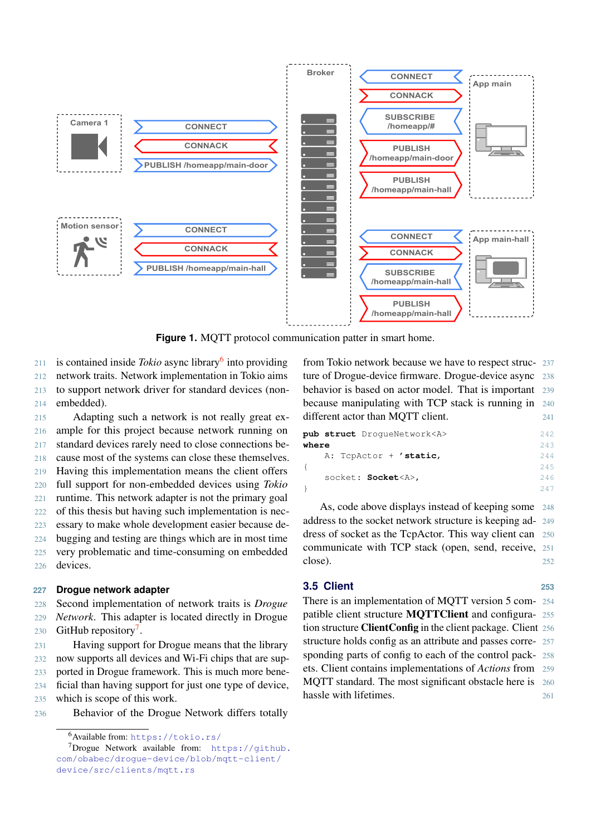<span id="page-3-1"></span>

**Figure 1.** MQTT protocol communication patter in smart home.

211 is contained inside *Tokio* async library<sup>[6](#page-3-2)</sup> into providing network traits. Network implementation in Tokio aims to support network driver for standard devices (non-embedded).

 Adapting such a network is not really great ex- ample for this project because network running on standard devices rarely need to close connections be- cause most of the systems can close these themselves. Having this implementation means the client offers full support for non-embedded devices using *Tokio* runtime. This network adapter is not the primary goal of this thesis but having such implementation is nec- essary to make whole development easier because de- bugging and testing are things which are in most time very problematic and time-consuming on embedded 226 devices.

#### **227 Drogue network adapter**

228 Second implementation of network traits is *Drogue* 229 *Network*. This adapter is located directly in Drogue 230 GitHub repository<sup>[7](#page-3-3)</sup>.

 Having support for Drogue means that the library now supports all devices and Wi-Fi chips that are sup- ported in Drogue framework. This is much more bene- ficial than having support for just one type of device, which is scope of this work.

236 Behavior of the Drogue Network differs totally

from Tokio network because we have to respect struc- 237 ture of Drogue-device firmware. Drogue-device async 238 behavior is based on actor model. That is important 239 because manipulating with TCP stack is running in 240 different actor than MQTT client. 241

|       | pub struct DroqueNetwork <a></a> | 242  |
|-------|----------------------------------|------|
| where |                                  | 243  |
|       | A: TopActor + 'static,           | 2.44 |
|       |                                  | 245  |
|       | socket: Socket <a>,</a>          | 246  |
|       |                                  |      |

As, code above displays instead of keeping some 248 address to the socket network structure is keeping ad- 249 dress of socket as the TcpActor. This way client can 250 communicate with TCP stack (open, send, receive, 251  $\csc$ ). 252

## <span id="page-3-0"></span>**3.5 Client 253**

There is an implementation of MQTT version 5 com- 254 patible client structure MQTTClient and configura- 255 tion structure ClientConfig in the client package. Client 256 structure holds config as an attribute and passes corre- 257 sponding parts of config to each of the control pack- 258 ets. Client contains implementations of *Actions* from 259 MOTT standard. The most significant obstacle here is 260 hassle with lifetimes. 261

<span id="page-3-3"></span><span id="page-3-2"></span><sup>6</sup>Available from: <https://tokio.rs/>

<sup>7</sup>Drogue Network available from: [https://github.](https://github.com/obabec/drogue-device/blob/mqtt-client/device/src/clients/mqtt.rs) [com/obabec/drogue-device/blob/mqtt-client/](https://github.com/obabec/drogue-device/blob/mqtt-client/device/src/clients/mqtt.rs) [device/src/clients/mqtt.rs](https://github.com/obabec/drogue-device/blob/mqtt-client/device/src/clients/mqtt.rs)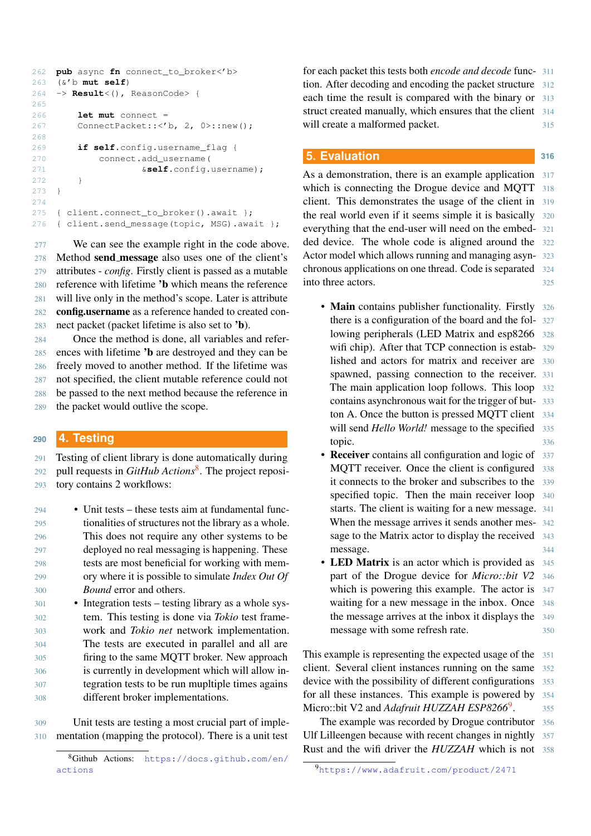```
262 pub async fn connect_to_broker<'b>
263 (&'b mut self)
264 -> Result<(), ReasonCode> {
265
266 let mut connect =
267 ConnectPacket:: < 'b, 2, 0>::new();
268
269 if self.config.username_flag {
270 connect.add_username(
271 &self.config.username);
272 }
273 }
274
275 { client.connect_to_broker().await };
276 { client.send_message(topic, MSG).await };
```
277 We can see the example right in the code above. Method send message also uses one of the client's attributes - *config*. Firstly client is passed as a mutable reference with lifetime 'b which means the reference will live only in the method's scope. Later is attribute config.username as a reference handed to created con-nect packet (packet lifetime is also set to 'b).

 Once the method is done, all variables and refer- ences with lifetime 'b are destroyed and they can be freely moved to another method. If the lifetime was not specified, the client mutable reference could not be passed to the next method because the reference in the packet would outlive the scope.

#### **<sup>290</sup> 4. Testing**

291 Testing of client library is done automatically during pull requests in *GitHub Actions*[8](#page-4-0) 292 . The project reposi-

- 293 tory contains 2 workflows:
- 294 Unit tests these tests aim at fundamental func-295 tionalities of structures not the library as a whole. 296 This does not require any other systems to be 297 deployed no real messaging is happening. These 298 tests are most beneficial for working with mem-299 ory where it is possible to simulate *Index Out Of* 300 *Bound* error and others.
- 301 Integration tests testing library as a whole sys-302 tem. This testing is done via *Tokio* test frame-303 work and *Tokio net* network implementation. 304 The tests are executed in parallel and all are 305 firing to the same MQTT broker. New approach 306 is currently in development which will allow in-307 tegration tests to be run mupltiple times agains 308 different broker implementations.

309 Unit tests are testing a most crucial part of imple-310 mentation (mapping the protocol). There is a unit test for each packet this tests both *encode and decode* func- 311 tion. After decoding and encoding the packet structure 312 each time the result is compared with the binary or 313 struct created manually, which ensures that the client 314 will create a malformed packet. 315

#### **5. Evaluation 316**

As a demonstration, there is an example application 317 which is connecting the Drogue device and MQTT 318 client. This demonstrates the usage of the client in 319 the real world even if it seems simple it is basically 320 everything that the end-user will need on the embed- 321 ded device. The whole code is aligned around the 322 Actor model which allows running and managing asyn- 323 chronous applications on one thread. Code is separated 324 into three actors. 325

- Main contains publisher functionality. Firstly 326 there is a configuration of the board and the fol- 327 lowing peripherals (LED Matrix and esp8266 328 wifi chip). After that TCP connection is estab- 329 lished and actors for matrix and receiver are 330 spawned, passing connection to the receiver. 331 The main application loop follows. This loop 332 contains asynchronous wait for the trigger of but- 333 ton A. Once the button is pressed MQTT client 334 will send *Hello World!* message to the specified 335 topic. 336
- Receiver contains all configuration and logic of 337 MQTT receiver. Once the client is configured 338 it connects to the broker and subscribes to the 339 specified topic. Then the main receiver loop 340 starts. The client is waiting for a new message. 341 When the message arrives it sends another mes- 342 sage to the Matrix actor to display the received 343 message. 344
- LED Matrix is an actor which is provided as 345 part of the Drogue device for *Micro::bit V2* 346 which is powering this example. The actor is  $347$ waiting for a new message in the inbox. Once 348 the message arrives at the inbox it displays the 349 message with some refresh rate. 350

This example is representing the expected usage of the 351 client. Several client instances running on the same 352 device with the possibility of different configurations 353 for all these instances. This example is powered by 354 Micro::bit V2 and *Adafruit HUZZAH ESP8266*<sup>[9](#page-4-1)</sup>. . 355

The example was recorded by Drogue contributor 356 Ulf Lilleengen because with recent changes in nightly 357 Rust and the wifi driver the *HUZZAH* which is not 358

<span id="page-4-0"></span><sup>8</sup>Github Actions: [https://docs.github.com/en/](https://docs.github.com/en/actions) [actions](https://docs.github.com/en/actions)

<span id="page-4-1"></span><sup>9</sup><https://www.adafruit.com/product/2471>